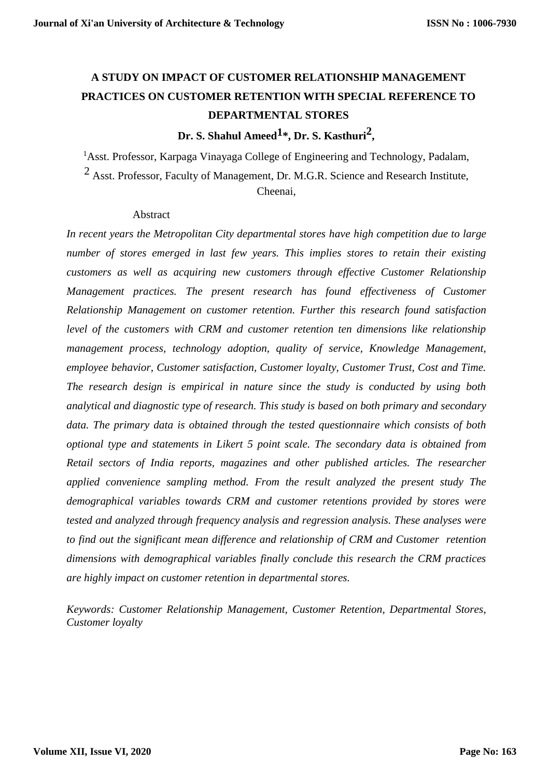# **A STUDY ON IMPACT OF CUSTOMER RELATIONSHIP MANAGEMENT PRACTICES ON CUSTOMER RETENTION WITH SPECIAL REFERENCE TO DEPARTMENTAL STORES**

# **Dr. S. Shahul Ameed1\*, Dr. S. Kasthuri2 ,**

<sup>1</sup>Asst. Professor, Karpaga Vinayaga College of Engineering and Technology, Padalam, 2 Asst. Professor, Faculty of Management, Dr. M.G.R. Science and Research Institute, Cheenai,

#### Abstract

*In recent years the Metropolitan City departmental stores have high competition due to large number of stores emerged in last few years. This implies stores to retain their existing customers as well as acquiring new customers through effective Customer Relationship Management practices. The present research has found effectiveness of Customer Relationship Management on customer retention. Further this research found satisfaction level of the customers with CRM and customer retention ten dimensions like relationship management process, technology adoption, quality of service, Knowledge Management, employee behavior, Customer satisfaction, Customer loyalty, Customer Trust, Cost and Time. The research design is empirical in nature since the study is conducted by using both analytical and diagnostic type of research. This study is based on both primary and secondary data. The primary data is obtained through the tested questionnaire which consists of both optional type and statements in Likert 5 point scale. The secondary data is obtained from Retail sectors of India reports, magazines and other published articles. The researcher applied convenience sampling method. From the result analyzed the present study The demographical variables towards CRM and customer retentions provided by stores were tested and analyzed through frequency analysis and regression analysis. These analyses were to find out the significant mean difference and relationship of CRM and Customer retention dimensions with demographical variables finally conclude this research the CRM practices are highly impact on customer retention in departmental stores.*

*Keywords: Customer Relationship Management, Customer Retention, Departmental Stores, Customer loyalty*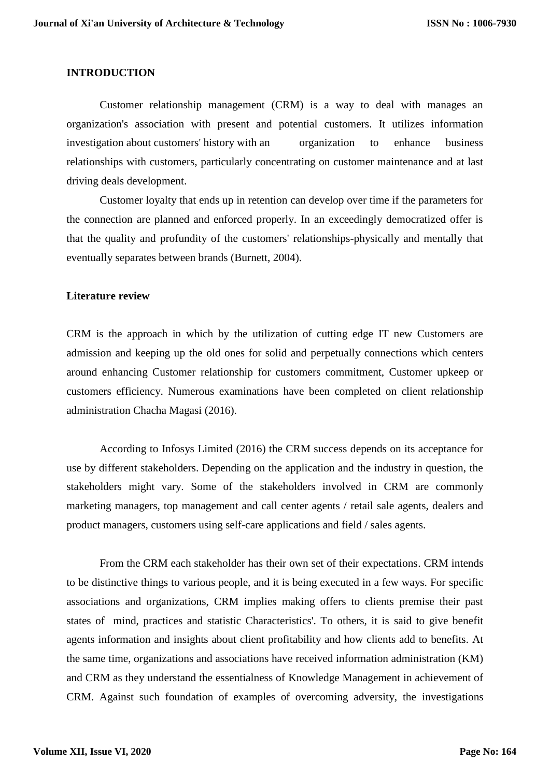#### **INTRODUCTION**

Customer relationship management (CRM) is a way to deal with manages an organization's association with present and potential customers. It utilizes information investigation about customers' history with an organization to enhance business relationships with customers, particularly concentrating on customer maintenance and at last driving deals development.

Customer loyalty that ends up in retention can develop over time if the parameters for the connection are planned and enforced properly. In an exceedingly democratized offer is that the quality and profundity of the customers' relationships-physically and mentally that eventually separates between brands (Burnett, 2004).

#### **Literature review**

CRM is the approach in which by the utilization of cutting edge IT new Customers are admission and keeping up the old ones for solid and perpetually connections which centers around enhancing Customer relationship for customers commitment, Customer upkeep or customers efficiency. Numerous examinations have been completed on client relationship administration Chacha Magasi (2016).

According to Infosys Limited (2016) the CRM success depends on its acceptance for use by different stakeholders. Depending on the application and the industry in question, the stakeholders might vary. Some of the stakeholders involved in CRM are commonly marketing managers, top management and call center agents / retail sale agents, dealers and product managers, customers using self-care applications and field / sales agents.

From the CRM each stakeholder has their own set of their expectations. CRM intends to be distinctive things to various people, and it is being executed in a few ways. For specific associations and organizations, CRM implies making offers to clients premise their past states of mind, practices and statistic Characteristics'. To others, it is said to give benefit agents information and insights about client profitability and how clients add to benefits. At the same time, organizations and associations have received information administration (KM) and CRM as they understand the essentialness of Knowledge Management in achievement of CRM. Against such foundation of examples of overcoming adversity, the investigations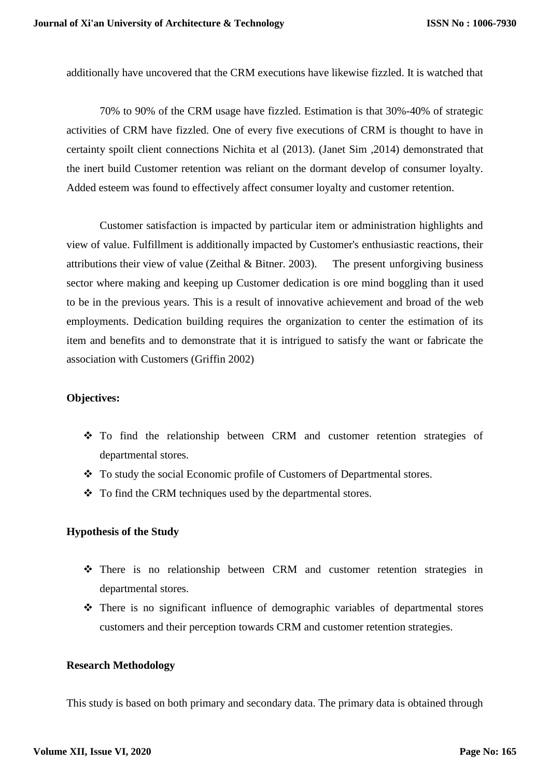additionally have uncovered that the CRM executions have likewise fizzled. It is watched that

70% to 90% of the CRM usage have fizzled. Estimation is that 30%-40% of strategic activities of CRM have fizzled. One of every five executions of CRM is thought to have in certainty spoilt client connections Nichita et al (2013). (Janet Sim ,2014) demonstrated that the inert build Customer retention was reliant on the dormant develop of consumer loyalty. Added esteem was found to effectively affect consumer loyalty and customer retention.

Customer satisfaction is impacted by particular item or administration highlights and view of value. Fulfillment is additionally impacted by Customer's enthusiastic reactions, their attributions their view of value (Zeithal & Bitner. 2003). The present unforgiving business sector where making and keeping up Customer dedication is ore mind boggling than it used to be in the previous years. This is a result of innovative achievement and broad of the web employments. Dedication building requires the organization to center the estimation of its item and benefits and to demonstrate that it is intrigued to satisfy the want or fabricate the association with Customers (Griffin 2002)

#### **Objectives:**

- To find the relationship between CRM and customer retention strategies of departmental stores.
- \* To study the social Economic profile of Customers of Departmental stores.
- To find the CRM techniques used by the departmental stores.

#### **Hypothesis of the Study**

- There is no relationship between CRM and customer retention strategies in departmental stores.
- There is no significant influence of demographic variables of departmental stores customers and their perception towards CRM and customer retention strategies.

#### **Research Methodology**

This study is based on both primary and secondary data. The primary data is obtained through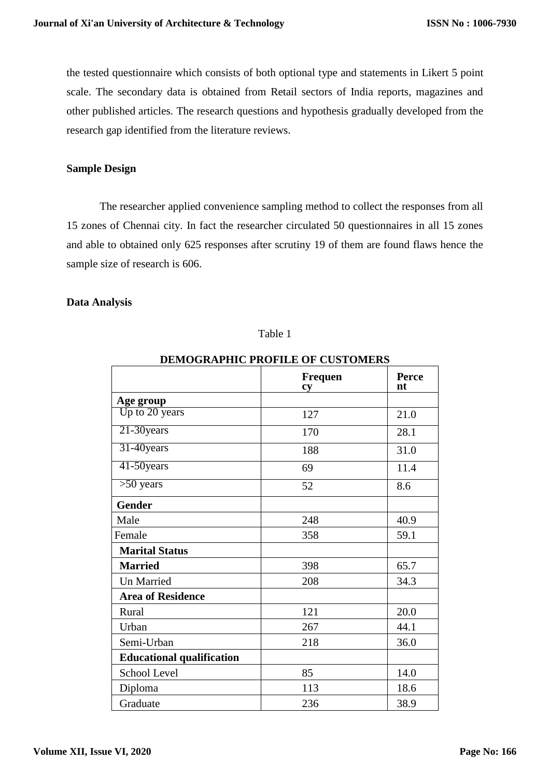the tested questionnaire which consists of both optional type and statements in Likert 5 point scale. The secondary data is obtained from Retail sectors of India reports, magazines and other published articles. The research questions and hypothesis gradually developed from the research gap identified from the literature reviews.

#### **Sample Design**

The researcher applied convenience sampling method to collect the responses from all 15 zones of Chennai city. In fact the researcher circulated 50 questionnaires in all 15 zones and able to obtained only 625 responses after scrutiny 19 of them are found flaws hence the sample size of research is 606.

#### **Data Analysis**

#### Table 1

| DEMOGRAFIIIC I ROFILE OF COSTOMERS |                      |             |  |  |  |  |
|------------------------------------|----------------------|-------------|--|--|--|--|
|                                    | <b>Frequen</b><br>cy | Perce<br>nt |  |  |  |  |
| Age group                          |                      |             |  |  |  |  |
| Up to 20 years                     | 127                  | 21.0        |  |  |  |  |
| 21-30years                         | 170                  | 28.1        |  |  |  |  |
| 31-40years                         | 188                  | 31.0        |  |  |  |  |
| 41-50years                         | 69                   | 11.4        |  |  |  |  |
| $>50$ years                        | 52                   | 8.6         |  |  |  |  |
| <b>Gender</b>                      |                      |             |  |  |  |  |
| Male                               | 248                  | 40.9        |  |  |  |  |
| Female                             | 358                  | 59.1        |  |  |  |  |
| <b>Marital Status</b>              |                      |             |  |  |  |  |
| <b>Married</b>                     | 398                  | 65.7        |  |  |  |  |
| <b>Un Married</b>                  | 208                  | 34.3        |  |  |  |  |
| <b>Area of Residence</b>           |                      |             |  |  |  |  |
| Rural                              | 121                  | 20.0        |  |  |  |  |
| Urban                              | 267                  | 44.1        |  |  |  |  |
| Semi-Urban                         | 218                  | 36.0        |  |  |  |  |
| <b>Educational qualification</b>   |                      |             |  |  |  |  |
| School Level                       | 85                   | 14.0        |  |  |  |  |
| Diploma                            | 113                  | 18.6        |  |  |  |  |
| Graduate                           | 236                  | 38.9        |  |  |  |  |

**DEMOGRAPHIC PROFILE OF CUSTOMERS**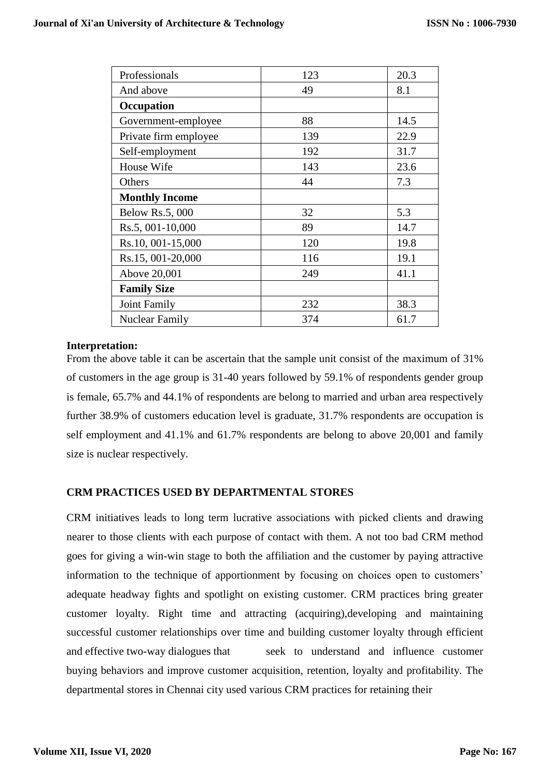| Professionals          | 123 | 20.3 |
|------------------------|-----|------|
| And above              | 49  | 8.1  |
| Occupation             |     |      |
| Government-employee    | 88  | 14.5 |
| Private firm employee  | 139 | 22.9 |
| Self-employment        | 192 | 31.7 |
| House Wife             | 143 | 23.6 |
| Others                 | 44  | 7.3  |
| <b>Monthly Income</b>  |     |      |
| <b>Below Rs.5, 000</b> | 32  | 5.3  |
| Rs.5, 001-10,000       | 89  | 14.7 |
| Rs.10, 001-15,000      | 120 | 19.8 |
| Rs.15, 001-20,000      | 116 | 19.1 |
| Above 20,001           | 249 | 41.1 |
| <b>Family Size</b>     |     |      |
| <b>Joint Family</b>    | 232 | 38.3 |
| <b>Nuclear Family</b>  | 374 | 61.7 |

#### **Interpretation:**

From the above table it can be ascertain that the sample unit consist of the maximum of 31% of customers in the age group is 31-40 years followed by 59.1% of respondents gender group is female, 65.7% and 44.1% of respondents are belong to married and urban area respectively further 38.9% of customers education level is graduate, 31.7% respondents are occupation is self employment and 41.1% and 61.7% respondents are belong to above 20,001 and family size is nuclear respectively.

#### **CRM PRACTICES USED BY DEPARTMENTAL STORES**

CRM initiatives leads to long term lucrative associations with picked clients and drawing nearer to those clients with each purpose of contact with them. A not too bad CRM method goes for giving a win-win stage to both the affiliation and the customer by paying attractive information to the technique of apportionment by focusing on choices open to customers' adequate headway fights and spotlight on existing customer. CRM practices bring greater customer loyalty. Right time and attracting (acquiring),developing and maintaining successful customer relationships over time and building customer loyalty through efficient and effective two-way dialogues that seek to understand and influence customer buying behaviors and improve customer acquisition, retention, loyalty and profitability. The departmental stores in Chennai city used various CRM practices for retaining their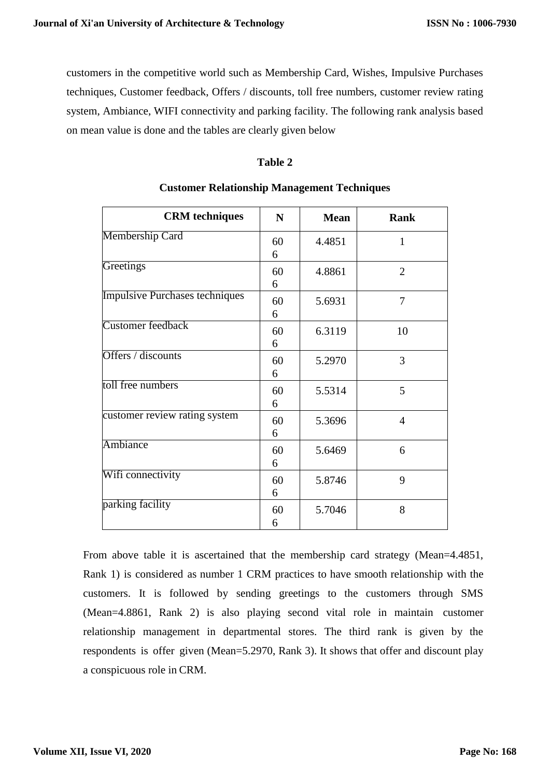customers in the competitive world such as Membership Card, Wishes, Impulsive Purchases techniques, Customer feedback, Offers / discounts, toll free numbers, customer review rating system, Ambiance, WIFI connectivity and parking facility. The following rank analysis based on mean value is done and the tables are clearly given below

## **Table 2**

| <b>CRM</b> techniques                 | N       | <b>Mean</b> | Rank           |
|---------------------------------------|---------|-------------|----------------|
| <b>Membership Card</b>                | 60<br>6 | 4.4851      | 1              |
| Greetings                             | 60<br>6 | 4.8861      | $\overline{2}$ |
| <b>Impulsive Purchases techniques</b> | 60<br>6 | 5.6931      | 7              |
| <b>Customer</b> feedback              | 60<br>6 | 6.3119      | 10             |
| Offers / discounts                    | 60<br>6 | 5.2970      | 3              |
| toll free numbers                     | 60<br>6 | 5.5314      | 5              |
| customer review rating system         | 60<br>6 | 5.3696      | $\overline{4}$ |
| Ambiance                              | 60<br>6 | 5.6469      | 6              |
| Wifi connectivity                     | 60<br>6 | 5.8746      | 9              |
| parking facility                      | 60<br>6 | 5.7046      | 8              |

## **Customer Relationship Management Techniques**

From above table it is ascertained that the membership card strategy (Mean=4.4851, Rank 1) is considered as number 1 CRM practices to have smooth relationship with the customers. It is followed by sending greetings to the customers through SMS (Mean=4.8861, Rank 2) is also playing second vital role in maintain customer relationship management in departmental stores. The third rank is given by the respondents is offer given (Mean=5.2970, Rank 3). It shows that offer and discount play a conspicuous role in CRM.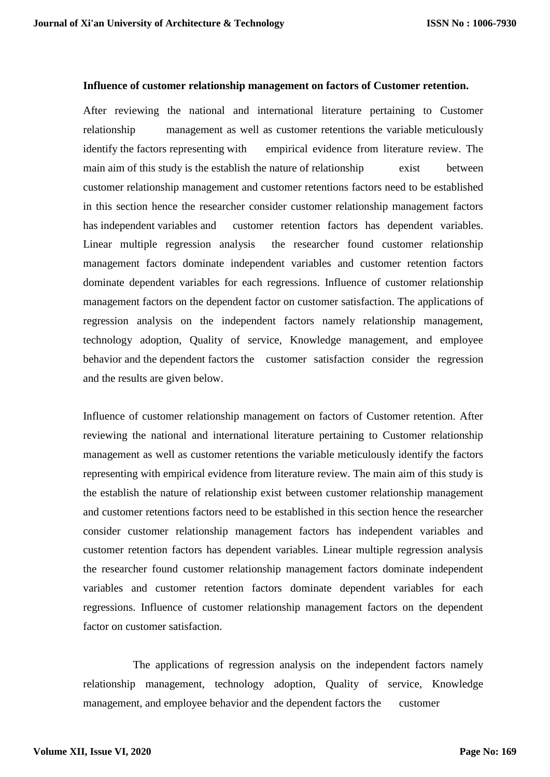#### **Influence of customer relationship management on factors of Customer retention.**

After reviewing the national and international literature pertaining to Customer relationship management as well as customer retentions the variable meticulously identify the factors representing with empirical evidence from literature review. The main aim of this study is the establish the nature of relationship exist between customer relationship management and customer retentions factors need to be established in this section hence the researcher consider customer relationship management factors has independent variables and customer retention factors has dependent variables. Linear multiple regression analysis the researcher found customer relationship management factors dominate independent variables and customer retention factors dominate dependent variables for each regressions. Influence of customer relationship management factors on the dependent factor on customer satisfaction. The applications of regression analysis on the independent factors namely relationship management, technology adoption, Quality of service, Knowledge management, and employee behavior and the dependent factors the customer satisfaction consider the regression and the results are given below.

Influence of customer relationship management on factors of Customer retention. After reviewing the national and international literature pertaining to Customer relationship management as well as customer retentions the variable meticulously identify the factors representing with empirical evidence from literature review. The main aim of this study is the establish the nature of relationship exist between customer relationship management and customer retentions factors need to be established in this section hence the researcher consider customer relationship management factors has independent variables and customer retention factors has dependent variables. Linear multiple regression analysis the researcher found customer relationship management factors dominate independent variables and customer retention factors dominate dependent variables for each regressions. Influence of customer relationship management factors on the dependent factor on customer satisfaction.

The applications of regression analysis on the independent factors namely relationship management, technology adoption, Quality of service, Knowledge management, and employee behavior and the dependent factors the customer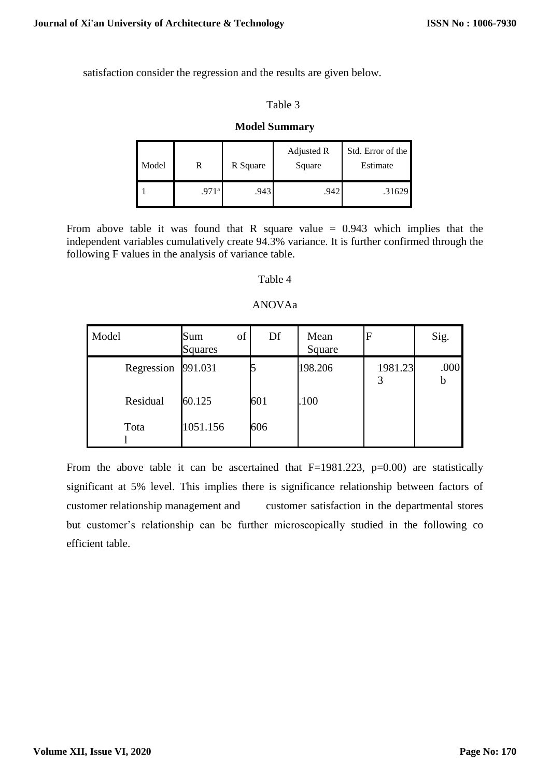satisfaction consider the regression and the results are given below.

#### Table 3

## **Model Summary**

| Model |       | R Square | Adjusted R<br>Square | Std. Error of the<br>Estimate |
|-------|-------|----------|----------------------|-------------------------------|
|       | .971ª | .943     | .942                 | .31629                        |

From above table it was found that R square value  $= 0.943$  which implies that the independent variables cumulatively create 94.3% variance. It is further confirmed through the following F values in the analysis of variance table.

## Table 4

#### ANOVAa

| Model      | of<br>Sum<br><b>Squares</b> | Df  | Mean<br>Square | F       | Sig.      |
|------------|-----------------------------|-----|----------------|---------|-----------|
| Regression | 991.031                     |     | 198.206        | 1981.23 | .000<br>b |
| Residual   | 60.125                      | 601 | .100           |         |           |
| Tota       | 1051.156                    | 606 |                |         |           |

From the above table it can be ascertained that  $F=1981.223$ ,  $p=0.00$ ) are statistically significant at 5% level. This implies there is significance relationship between factors of customer relationship management and customer satisfaction in the departmental stores but customer's relationship can be further microscopically studied in the following co efficient table.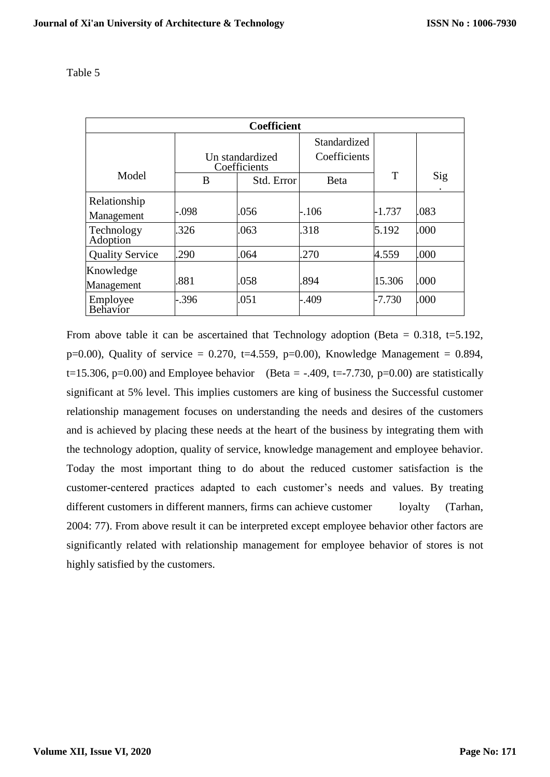| <b>Coefficient</b>         |                                 |            |              |          |      |  |  |
|----------------------------|---------------------------------|------------|--------------|----------|------|--|--|
|                            |                                 |            | Standardized |          |      |  |  |
|                            | Un standardized<br>Coefficients |            | Coefficients |          |      |  |  |
| Model                      | B                               | Std. Error | <b>B</b> eta | T        | Sig  |  |  |
| Relationship<br>Management | .098                            | .056       | $-.106$      | $-1.737$ | .083 |  |  |
| Technology<br>Adoption     | .326                            | .063       | .318         | 5.192    | .000 |  |  |
| <b>Quality Service</b>     | .290                            | .064       | .270         | 4.559    | .000 |  |  |
| Knowledge<br>Management    | .881                            | .058       | .894         | 15.306   | .000 |  |  |
| Employee<br>Behavior       | .396                            | .051       | $-0.409$     | $-7.730$ | .000 |  |  |

From above table it can be ascertained that Technology adoption (Beta =  $0.318$ , t=5.192, p=0.00), Quality of service = 0.270, t=4.559, p=0.00), Knowledge Management = 0.894, t=15.306, p=0.00) and Employee behavior (Beta = -.409, t=-7.730, p=0.00) are statistically significant at 5% level. This implies customers are king of business the Successful customer relationship management focuses on understanding the needs and desires of the customers and is achieved by placing these needs at the heart of the business by integrating them with the technology adoption, quality of service, knowledge management and employee behavior. Today the most important thing to do about the reduced customer satisfaction is the customer-centered practices adapted to each customer's needs and values. By treating different customers in different manners, firms can achieve customer loyalty (Tarhan, 2004: 77). From above result it can be interpreted except employee behavior other factors are significantly related with relationship management for employee behavior of stores is not highly satisfied by the customers.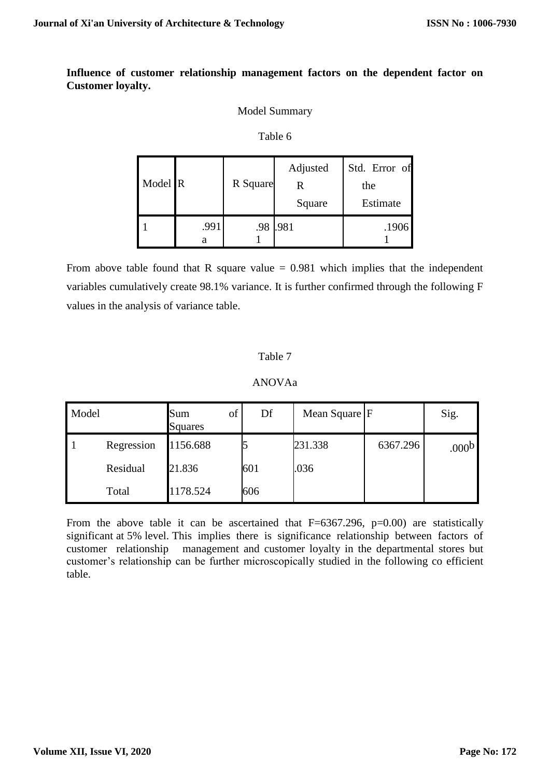# **Influence of customer relationship management factors on the dependent factor on Customer loyalty.**

## Model Summary

#### Table 6

| Model R |           | R Square | Adjusted<br>R<br>Square | Std. Error of<br>the<br>Estimate |
|---------|-----------|----------|-------------------------|----------------------------------|
|         | .991<br>а | .98      | .981                    | .1906                            |

From above table found that R square value  $= 0.981$  which implies that the independent variables cumulatively create 98.1% variance. It is further confirmed through the following F values in the analysis of variance table.

# Table 7

# ANOVAa

| Model |            | of<br>Sum<br>Squares | Df  | Mean Square F |          | Sig.              |
|-------|------------|----------------------|-----|---------------|----------|-------------------|
|       | Regression | 1156.688             |     | 231.338       | 6367.296 | .000 <sup>b</sup> |
|       | Residual   | 21.836               | 601 | .036          |          |                   |
|       | Total      | 1178.524             | 606 |               |          |                   |

From the above table it can be ascertained that  $F=6367.296$ ,  $p=0.00$  are statistically significant at 5% level. This implies there is significance relationship between factors of customer relationship management and customer loyalty in the departmental stores but customer's relationship can be further microscopically studied in the following co efficient table.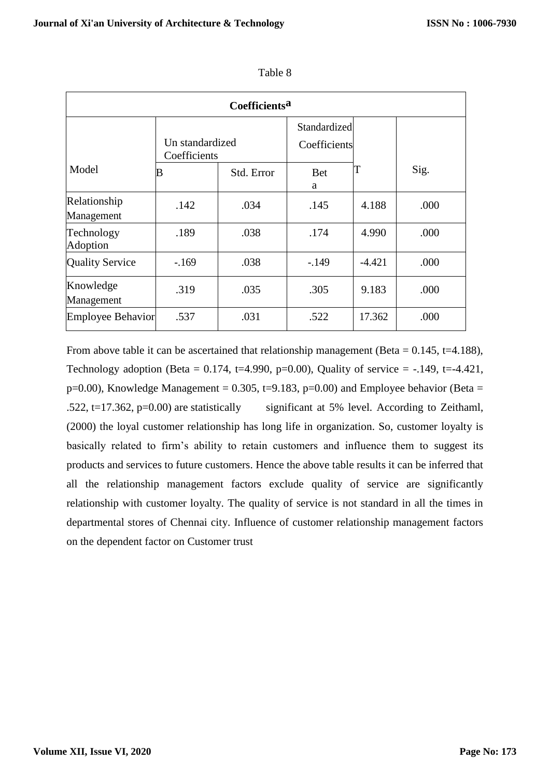| Coefficients <sup>a</sup>  |                                 |            |                 |          |      |  |  |
|----------------------------|---------------------------------|------------|-----------------|----------|------|--|--|
|                            |                                 |            | Standardized    |          |      |  |  |
|                            | Un standardized<br>Coefficients |            | Coefficients    |          |      |  |  |
| Model                      | В                               | Std. Error | <b>Bet</b><br>a | T        | Sig. |  |  |
| Relationship<br>Management | .142                            | .034       | .145            | 4.188    | .000 |  |  |
| Technology<br>Adoption     | .189                            | .038       | .174            | 4.990    | .000 |  |  |
| <b>Quality Service</b>     | $-.169$                         | .038       | $-149$          | $-4.421$ | .000 |  |  |
| Knowledge<br>Management    | .319                            | .035       | .305            | 9.183    | .000 |  |  |
| <b>Employee Behavior</b>   | .537                            | .031       | .522            | 17.362   | .000 |  |  |

Table 8

From above table it can be ascertained that relationship management (Beta =  $0.145$ , t=4.188), Technology adoption (Beta =  $0.174$ , t=4.990, p=0.00), Quality of service =  $-149$ , t= $-4.421$ ,  $p=0.00$ ), Knowledge Management = 0.305, t=9.183,  $p=0.00$ ) and Employee behavior (Beta = .522, t=17.362, p=0.00) are statistically significant at 5% level. According to Zeithaml, (2000) the loyal customer relationship has long life in organization. So, customer loyalty is basically related to firm's ability to retain customers and influence them to suggest its products and services to future customers. Hence the above table results it can be inferred that all the relationship management factors exclude quality of service are significantly relationship with customer loyalty. The quality of service is not standard in all the times in departmental stores of Chennai city. Influence of customer relationship management factors on the dependent factor on Customer trust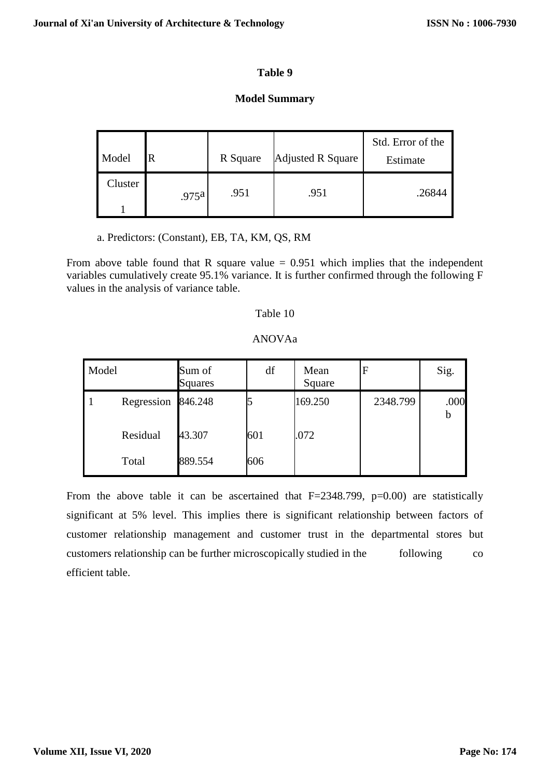# **Model Summary**

| Model   |                   | R Square | Adjusted R Square | Std. Error of the<br>Estimate |
|---------|-------------------|----------|-------------------|-------------------------------|
| Cluster | .975 <sup>a</sup> | .951     | .951              | .26844                        |

a. Predictors: (Constant), EB, TA, KM, QS, RM

From above table found that R square value  $= 0.951$  which implies that the independent variables cumulatively create 95.1% variance. It is further confirmed through the following F values in the analysis of variance table.

# Table 10

# ANOVAa

| Model |                    | Sum of<br><b>Squares</b> | df  | Mean<br>Square | F        | Sig. |
|-------|--------------------|--------------------------|-----|----------------|----------|------|
|       | Regression 846.248 |                          |     | 169.250        | 2348.799 | .000 |
|       | Residual           | 43.307                   | 601 | .072           |          |      |
|       | Total              | 889.554                  | 606 |                |          |      |

From the above table it can be ascertained that  $F=2348.799$ ,  $p=0.00$  are statistically significant at 5% level. This implies there is significant relationship between factors of customer relationship management and customer trust in the departmental stores but customers relationship can be further microscopically studied in the following co efficient table.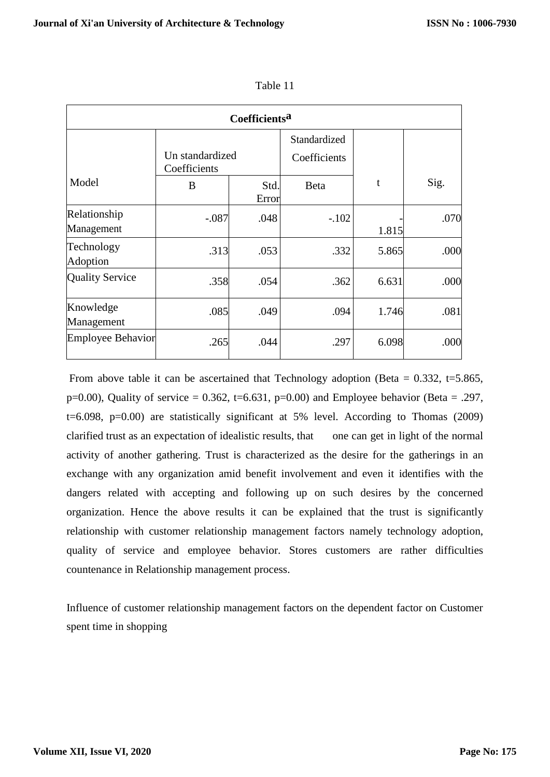| Coefficients <sup>a</sup>  |                                 |               |                              |       |      |  |  |  |
|----------------------------|---------------------------------|---------------|------------------------------|-------|------|--|--|--|
|                            | Un standardized<br>Coefficients |               | Standardized<br>Coefficients |       |      |  |  |  |
| Model                      | B                               | Std.<br>Error | Beta                         | t     | Sig. |  |  |  |
| Relationship<br>Management | $-.087$                         | .048          | $-.102$                      | 1.815 | .070 |  |  |  |
| Technology<br>Adoption     | .313                            | .053          | .332                         | 5.865 | .000 |  |  |  |
| <b>Quality Service</b>     | .358                            | .054          | .362                         | 6.631 | .000 |  |  |  |
| Knowledge<br>Management    | .085                            | .049          | .094                         | 1.746 | .081 |  |  |  |
| <b>Employee Behavior</b>   | .265                            | .044          | .297                         | 6.098 | .000 |  |  |  |

From above table it can be ascertained that Technology adoption (Beta =  $0.332$ , t=5.865, p=0.00), Quality of service =  $0.362$ , t=6.631, p=0.00) and Employee behavior (Beta = .297, t=6.098, p=0.00) are statistically significant at 5% level. According to Thomas (2009) clarified trust as an expectation of idealistic results, that one can get in light of the normal activity of another gathering. Trust is characterized as the desire for the gatherings in an exchange with any organization amid benefit involvement and even it identifies with the dangers related with accepting and following up on such desires by the concerned organization. Hence the above results it can be explained that the trust is significantly relationship with customer relationship management factors namely technology adoption, quality of service and employee behavior. Stores customers are rather difficulties countenance in Relationship management process.

Influence of customer relationship management factors on the dependent factor on Customer spent time in shopping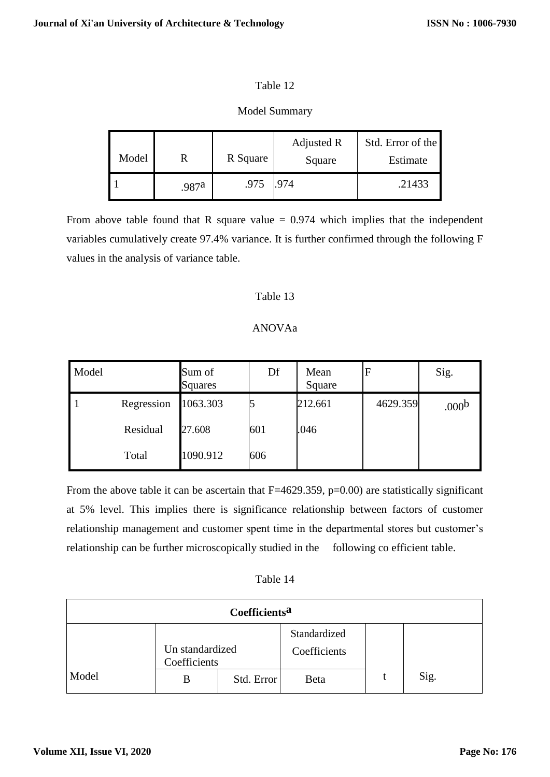# Model Summary

| Model |       | R Square | Adjusted R<br>Square | Std. Error of the<br>Estimate |
|-------|-------|----------|----------------------|-------------------------------|
|       | .987a | .975     | .974                 | .21433                        |

From above table found that R square value  $= 0.974$  which implies that the independent variables cumulatively create 97.4% variance. It is further confirmed through the following F values in the analysis of variance table.

# Table 13

# ANOVAa

| Model |            | Sum of<br><b>Squares</b> | Df  | Mean<br>Square | $\mathbf F$ | Sig.              |
|-------|------------|--------------------------|-----|----------------|-------------|-------------------|
|       | Regression | 1063.303                 |     | 212.661        | 4629.359    | .000 <sup>b</sup> |
|       | Residual   | 27.608                   | 601 | .046           |             |                   |
|       | Total      | 1090.912                 | 606 |                |             |                   |

From the above table it can be ascertain that  $F=4629.359$ ,  $p=0.00$ ) are statistically significant at 5% level. This implies there is significance relationship between factors of customer relationship management and customer spent time in the departmental stores but customer's relationship can be further microscopically studied in the following co efficient table.

|  | Table 14 |  |  |
|--|----------|--|--|
|--|----------|--|--|

| Coefficients <sup>a</sup> |                                 |            |              |  |      |  |  |
|---------------------------|---------------------------------|------------|--------------|--|------|--|--|
|                           |                                 |            | Standardized |  |      |  |  |
|                           | Un standardized<br>Coefficients |            | Coefficients |  |      |  |  |
| Model                     | B                               | Std. Error | Beta         |  | Sig. |  |  |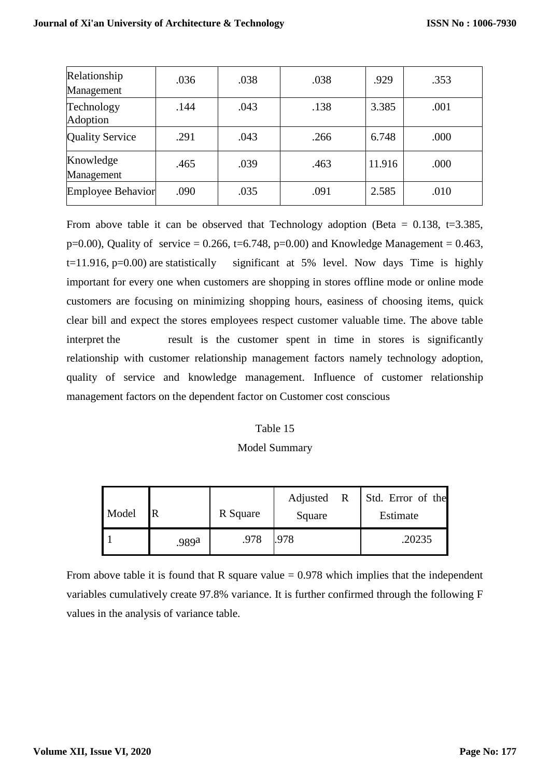| Relationship<br>Management | .036 | .038 | .038 | .929   | .353 |
|----------------------------|------|------|------|--------|------|
| Technology<br>Adoption     | .144 | .043 | .138 | 3.385  | .001 |
| <b>Quality Service</b>     | .291 | .043 | .266 | 6.748  | .000 |
| Knowledge<br>Management    | .465 | .039 | .463 | 11.916 | .000 |
| Employee Behavior          | .090 | .035 | .091 | 2.585  | .010 |

From above table it can be observed that Technology adoption (Beta =  $0.138$ , t=3.385, p=0.00), Quality of service = 0.266, t=6.748, p=0.00) and Knowledge Management = 0.463,  $t=11.916$ ,  $p=0.00$ ) are statistically significant at 5% level. Now days Time is highly important for every one when customers are shopping in stores offline mode or online mode customers are focusing on minimizing shopping hours, easiness of choosing items, quick clear bill and expect the stores employees respect customer valuable time. The above table interpret the result is the customer spent in time in stores is significantly relationship with customer relationship management factors namely technology adoption, quality of service and knowledge management. Influence of customer relationship management factors on the dependent factor on Customer cost conscious

#### Table 15

#### Model Summary

| Model |       | R Square | Adjusted R<br>Square | Std. Error of the<br>Estimate |
|-------|-------|----------|----------------------|-------------------------------|
|       | .989a | .978     | .978                 | .20235                        |

From above table it is found that R square value  $= 0.978$  which implies that the independent variables cumulatively create 97.8% variance. It is further confirmed through the following F values in the analysis of variance table.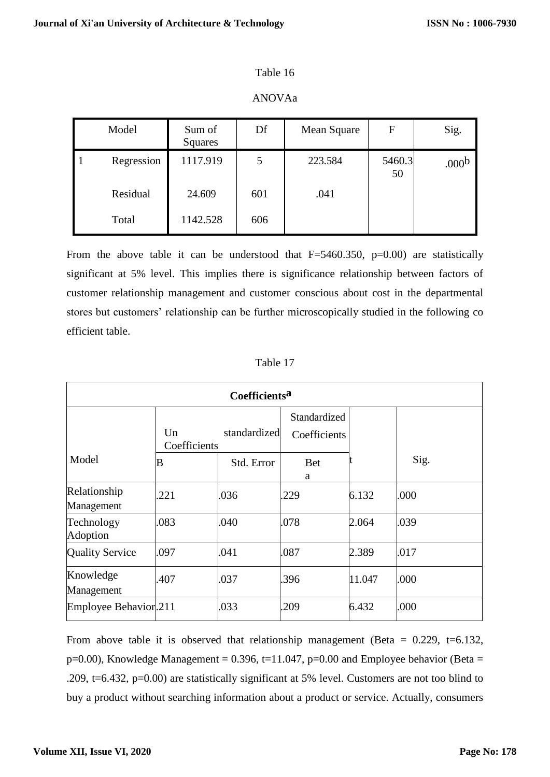## ANOVAa

| Model |            | Sum of<br>Squares | Df  | Mean Square | F            | Sig.              |
|-------|------------|-------------------|-----|-------------|--------------|-------------------|
|       | Regression | 1117.919          | 5   | 223.584     | 5460.3<br>50 | .000 <sub>b</sub> |
|       | Residual   | 24.609            | 601 | .041        |              |                   |
|       | Total      | 1142.528          | 606 |             |              |                   |

From the above table it can be understood that  $F=5460.350$ ,  $p=0.00$  are statistically significant at 5% level. This implies there is significance relationship between factors of customer relationship management and customer conscious about cost in the departmental stores but customers' relationship can be further microscopically studied in the following co efficient table.

| Table 17 |  |
|----------|--|
|          |  |

| Coefficients <sup>a</sup>  |                    |              |                              |        |      |  |
|----------------------------|--------------------|--------------|------------------------------|--------|------|--|
|                            | Un<br>Coefficients | standardized | Standardized<br>Coefficients |        |      |  |
| Model                      | B                  | Std. Error   | <b>Bet</b><br>a              |        | Sig. |  |
| Relationship<br>Management | .221               | .036         | 229                          | 6.132  | .000 |  |
| Technology<br>Adoption     | .083               | .040         | .078                         | 2.064  | .039 |  |
| <b>Quality Service</b>     | .097               | .041         | .087                         | 2.389  | .017 |  |
| Knowledge<br>Management    | .407               | .037         | 396                          | 11.047 | .000 |  |
| Employee Behavior.211      |                    | .033         | 209                          | 6.432  | .000 |  |

From above table it is observed that relationship management (Beta =  $0.229$ , t=6.132,  $p=0.00$ ), Knowledge Management = 0.396, t=11.047,  $p=0.00$  and Employee behavior (Beta = .209, t=6.432, p=0.00) are statistically significant at 5% level. Customers are not too blind to buy a product without searching information about a product or service. Actually, consumers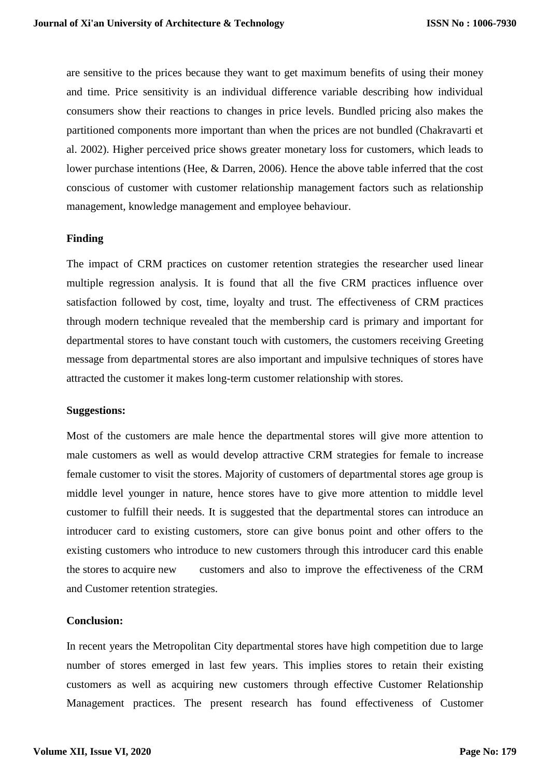are sensitive to the prices because they want to get maximum benefits of using their money and time. Price sensitivity is an individual difference variable describing how individual consumers show their reactions to changes in price levels. Bundled pricing also makes the partitioned components more important than when the prices are not bundled (Chakravarti et al. 2002). Higher perceived price shows greater monetary loss for customers, which leads to lower purchase intentions (Hee, & Darren, 2006). Hence the above table inferred that the cost conscious of customer with customer relationship management factors such as relationship management, knowledge management and employee behaviour.

#### **Finding**

The impact of CRM practices on customer retention strategies the researcher used linear multiple regression analysis. It is found that all the five CRM practices influence over satisfaction followed by cost, time, loyalty and trust. The effectiveness of CRM practices through modern technique revealed that the membership card is primary and important for departmental stores to have constant touch with customers, the customers receiving Greeting message from departmental stores are also important and impulsive techniques of stores have attracted the customer it makes long-term customer relationship with stores.

#### **Suggestions:**

Most of the customers are male hence the departmental stores will give more attention to male customers as well as would develop attractive CRM strategies for female to increase female customer to visit the stores. Majority of customers of departmental stores age group is middle level younger in nature, hence stores have to give more attention to middle level customer to fulfill their needs. It is suggested that the departmental stores can introduce an introducer card to existing customers, store can give bonus point and other offers to the existing customers who introduce to new customers through this introducer card this enable the stores to acquire new customers and also to improve the effectiveness of the CRM and Customer retention strategies.

## **Conclusion:**

In recent years the Metropolitan City departmental stores have high competition due to large number of stores emerged in last few years. This implies stores to retain their existing customers as well as acquiring new customers through effective Customer Relationship Management practices. The present research has found effectiveness of Customer